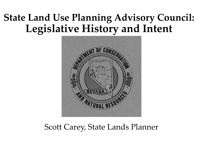# **State Land Use Planning Advisory Council: Legislative History and Intent**



#### Scott Carey, State Lands Planner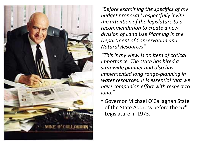

*"Before examining the specifics of my budget proposal I respectfully invite the attention of the legislature to a recommendation to create a new division of Land Use Planning in the Department of Conservation and Natural Resources"*

*"This is my view, is an item of critical importance. The state has hired a statewide planner and also has implemented long range-planning in water resources. It is essential that we have companion effort with respect to land."*

• Governor Michael O'Callaghan State of the State Address before the 57<sup>th</sup> Legislature in 1973.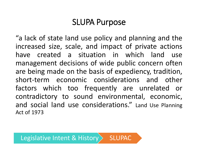## SLUPA Purpose

"a lack of state land use policy and planning and the increased size, scale, and impact of private actions have created a situation in which land use management decisions of wide public concern often are being made on the basis of expediency, tradition, short-term economic considerations and other factors which too frequently are unrelated or contradictory to sound environmental, economic, and social land use considerations." Land Use Planning Act of 1973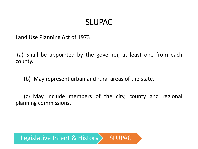### SLUPAC

Land Use Planning Act of 1973

(a) Shall be appointed by the governor, at least one from each county.

(b) May represent urban and rural areas of the state.

(c) May include members of the city, county and regional planning commissions.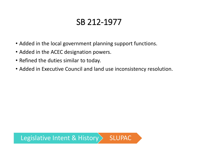# SB 212-1977

- Added in the local government planning support functions.
- Added in the ACEC designation powers.
- Refined the duties similar to today.
- Added in Executive Council and land use inconsistency resolution.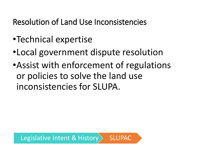Resolution of Land Use Inconsistencies

- •Technical expertise
- •Local government dispute resolution
- •Assist with enforcement of regulations or policies to solve the land use inconsistencies for SLUPA.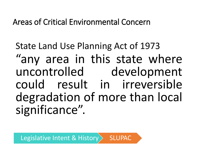Areas of Critical Environmental Concern

State Land Use Planning Act of 1973 "any area in this state where uncontrolled development could result in irreversible degradation of more than local significance".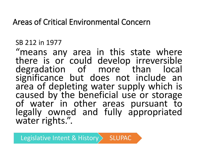### Areas of Critical Environmental Concern

#### SB 212 in 1977

"means any area in this state where there is or could develop irreversible degradation of more than local significance but does not include an area of depleting water supply which is caused by the beneficial use or storage of water in other areas pursuant to legally owned and fully appropriated water rights.".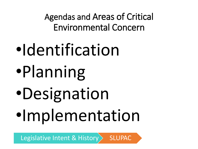Agendas and Areas of Critical Environmental Concern

- •Identification
- •Planning
- •Designation
- •Implementation